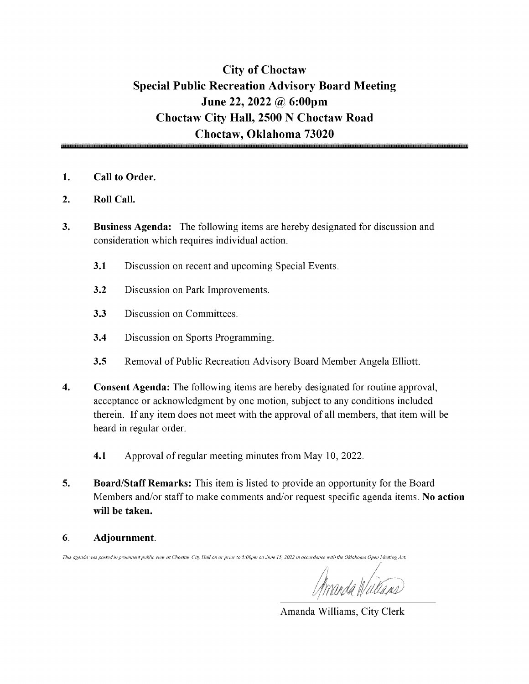### City of Choctaw Special Public Recreation Advisory Board Meeting June 22, 2022 @ 6:00pm Choctaw City Hall, 2500 N Choctaw Road Choctaw, Oklahoma 73020

- 1. Call to Order.
- 2. Roll Call.
- 3. Business Agenda: The following items are hereby designated for discussion and consideration which requires individual action.
	- 3.1 Discussion on recent and upcoming Special Events.
	- 3.2 Discussion on Park Improvements.
	- 3.3 Discussion on Committees.
	- 3.4 Discussion on Sports Programming.
	- 3.5 Removal of Public Recreation Advisory Board Member Angela Elliott.
- 4. Consent Agenda: The following items are hereby designated for routine approval, acceptance or acknowledgment by one motion, subject to any conditions included therein. If any item does not meet with the approval of all members, that item will be heard in regular order.
	- 4.1 Approval of regular meeting minutes from May 10, 2022.
- 5. Board/Staff Remarks: This item is listed to provide an opportunity for the Board Members and/or staff to make comments and/or request specific agenda items. No action will be taken.
- 6. Adjournment.

This agenda was posted in prominent public view at Choctaw City Hall on or prior to 5:00pm on June 15, 2022 in accordance with the Oklahoma Open Meeting Act.

Amanda Williams, City Clerk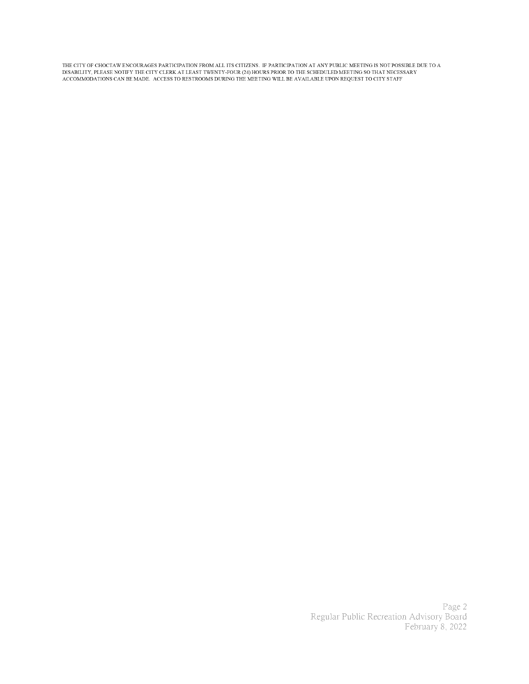THE CITY OF CHOCTAW ENCOURAGES PARTICIPATION FROM ALL ITS CITIZENS. IF PARTICIPATION AT ANY PUBLIC MEETING IS NOT POSSIBLE DUE TO A<br>DISABILITY, PLEASE NOTIFY THE CITY CLERK AT LEAST TWENTY-FOUR (24) HOURS PRIOR TO THE SCHE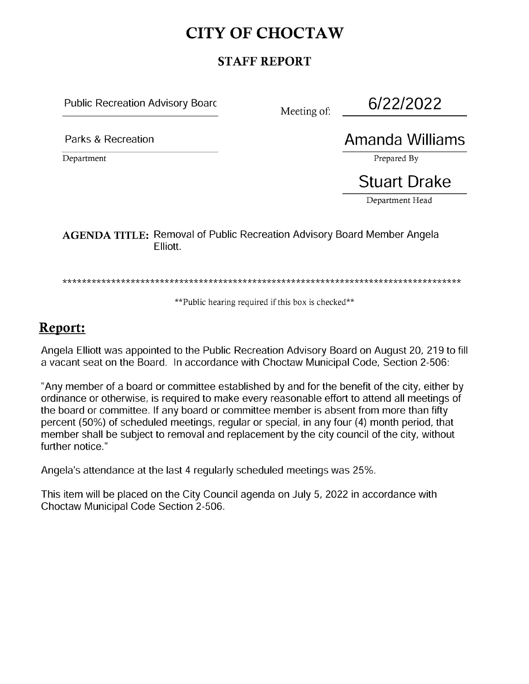## CITY OF CHOCTAW

### STAFF REPORT

Public Recreation Advisory Boarc

Meeting of:

6/22/2022

Department Prepared By a set of the set of the set of the prepared By a set of the set of the set of the set of the set of the set of the set of the set of the set of the set of the set of the set of the set of the set of

Parks & Recreation **Amanda Williams** 

# Stuart Drake

Department Head

AGENDA TITLE: Removal of Public Recreation Advisory Board Member Angela Elliott.

\*\*Public hearing required if this box is checked\*\*

## Report:

Angela Elliott was appointed to the Public Recreation Advisory Board on August 20, 219 to fill a vacant seat on the Board. In accordance with Choctaw Municipal Code, Section 2-506:

Any member of a board or committee established by and for the benefit of the city, either by ordinance or otherwise, is required to make every reasonable effort to attend all meetings of the board or committee. If any board or committee member is absent from more than fifty percent ( 50%) of scheduled meetings, regular or special, in any four ( 4) month period, that member shall be subject to removal and replacement by the city council of the city, without further notice."

Angela's attendance at the last 4 regularly scheduled meetings was 25%.

This item will be placed on the City Council agenda on July 5, 2022 in accordance with Choctaw Municipal Code Section 2-506.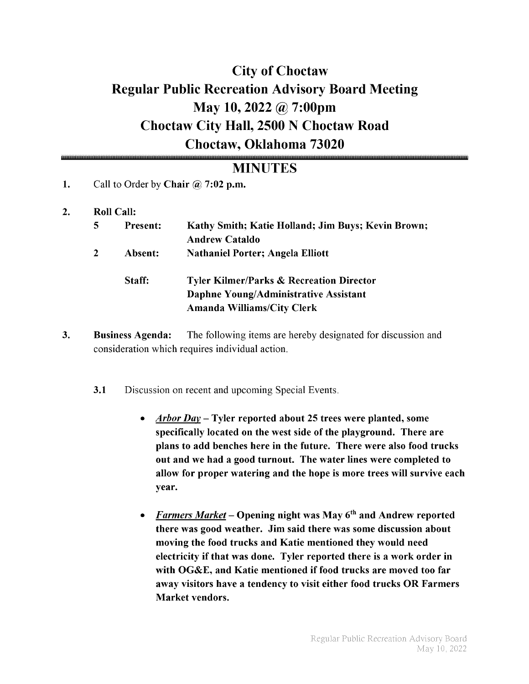# City of Choctaw Regular Public Recreation Advisory Board Meeting May 10, 2022 @ 7:00pm Choctaw City Hall, 2500 N Choctaw Road Choctaw, Oklahoma 73020

### **MINUTES**

- 1. Call to Order by Chair  $\omega$  7:02 p.m.
- 2. Roll Call:

| <b>Present:</b> | Kathy Smith; Katie Holland; Jim Buys; Kevin Brown;                                                                                |
|-----------------|-----------------------------------------------------------------------------------------------------------------------------------|
|                 | <b>Andrew Cataldo</b>                                                                                                             |
| Absent:         | <b>Nathaniel Porter; Angela Elliott</b>                                                                                           |
| Staff:          | <b>Tyler Kilmer/Parks &amp; Recreation Director</b><br>Daphne Young/Administrative Assistant<br><b>Amanda Williams/City Clerk</b> |

- 3. Business Agenda: The following items are hereby designated for discussion and consideration which requires individual action.
	- 3.1 Discussion on recent and upcoming Special Events.
		- $Arbor Day Tuler$  reported about 25 trees were planted, some specifically located on the west side of the playground. There are plans to add benches here in the future. There were also food trucks out and we had <sup>a</sup> good turnout. The water lines were completed to allow for proper watering and the hope is more trees will survive each year.
		- Farmers Market Opening night was May  $6<sup>th</sup>$  and Andrew reported there was good weather. Jim said there was some discussion about moving the food trucks and Katie mentioned they would need electricity if that was done. Tyler reported there is a work order in with OG&E, and Katie mentioned if food trucks are moved too far away visitors have a tendency to visit either food trucks OR Farmers Market vendors.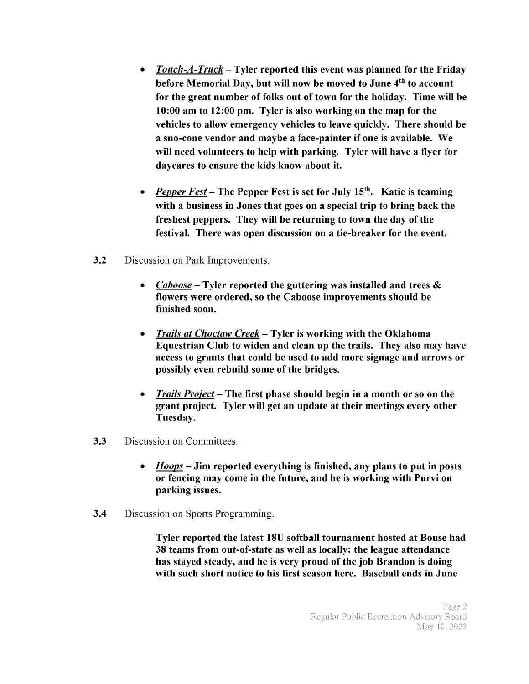- Touch- $A$ -Truck Tyler reported this event was planned for the Friday  $\bullet$ before Memorial Day, but will now be moved to June 4<sup>th</sup> to account for the great number of folks out of town for the holiday. Time will be 10: 00 am to 12: 00 pm. Tyler is also working on the map for the vehicles to allow emergency vehicles to leave quickly. There should be <sup>a</sup> sno- cone vendor and maybe <sup>a</sup> face- painter if one is available. We will need volunteers to help with parking. Tyler will have <sup>a</sup> flyer for daycares to ensure the kids know about it.
- **Pepper Fest** The Pepper Fest is set for July 15<sup>th</sup>. Katie is teaming with <sup>a</sup> business in Jones that goes on <sup>a</sup> special trip to bring back the freshest peppers. They will be returning to town the day of the festival. There was open discussion on a tie-breaker for the event.
- 3.2 Discussion on Park Improvements.
	- Caboose Tyler reported the guttering was installed and trees  $\&$ flowers were ordered, so the Caboose improvements should be finished soon.
	- Trails at Choctaw Creek— Tyler is working with the Oklahoma  $\bullet$ Equestrian Club to widen and clean up the trails. They also may have access to grants that could be used to add more signage and arrows or possibly even rebuild some of the bridges.
	- Trails Project— The first phase should begin in <sup>a</sup> month or so on the grant project. Tyler will get an update at their meetings every other Tuesday.
- 3.3 Discussion on Committees.
	- $\bullet$  $H oops$  – Jim reported everything is finished, any plans to put in posts or fencing may come in the future, and he is working with Purvi on parking issues.
- **3.4** Discussion on Sports Programming.

Tyler reported the latest 18U softball tournament hosted at Bouse had 38 teams from out-of-state as well as locally; the league attendance has stayed steady, and he is very proud of the job Brandon is doing with such short notice to his first season here. Baseball ends in June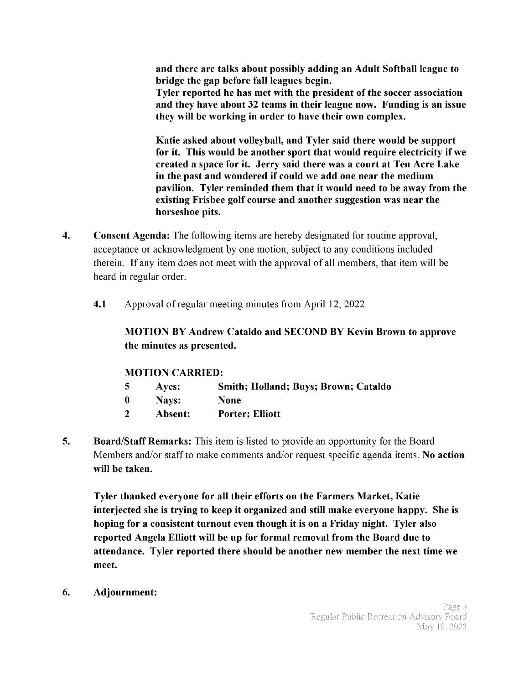and there are talks about possibly adding an Adult Softball league to bridge the gap before fall leagues begin.

Tyler reported he has met with the president of the soccer association and they have about 32 teams in their league now. Funding is an issue they will be working in order to have their own complex.

Katie asked about volleyball, and Tyler said there would be support for it. This would be another sport that would require electricity if we created <sup>a</sup> space for it. Jerry said there was <sup>a</sup> court at Ten Acre Lake in the past and wondered if could we add one near the medium pavilion. Tyler reminded them that it would need to be away from the existing Frisbee golf course and another suggestion was near the horseshoe pits.

- 4. Consent Agenda: The following items are hereby designated for routine approval, acceptance or acknowledgment by one motion, subject to any conditions included therein. If any item does not meet with the approval of all members, that item will be heard in regular order.
	- 4.1 Approval of regular meeting minutes from April 12, 2022.

### MOTION BY Andrew Cataldo and SECOND BY Kevin Brown to approve the minutes as presented.

#### MOTION CARRIED:

| -5       | Aves:   | <b>Smith; Holland; Buys; Brown; Cataldo</b> |
|----------|---------|---------------------------------------------|
| $\bf{0}$ | Navs:   | <b>None</b>                                 |
|          | Absent: | <b>Porter</b> ; Elliott                     |

5. Board/Staff Remarks: This item is listed to provide an opportunity for the Board Members and/or staff to make comments and/or request specific agenda items. No action will be taken.

Tyler thanked everyone for all their efforts on the Farmers Market, Katie interjected she is trying to keep it organized and still make everyone happy. She is hoping for <sup>a</sup> consistent turnout even though it is on <sup>a</sup> Friday night. Tyler also reported Angela Elliott will be up for formal removal from the Board due to attendance. Tyler reported there should be another new member the next time we meet.

6. Adjournment: